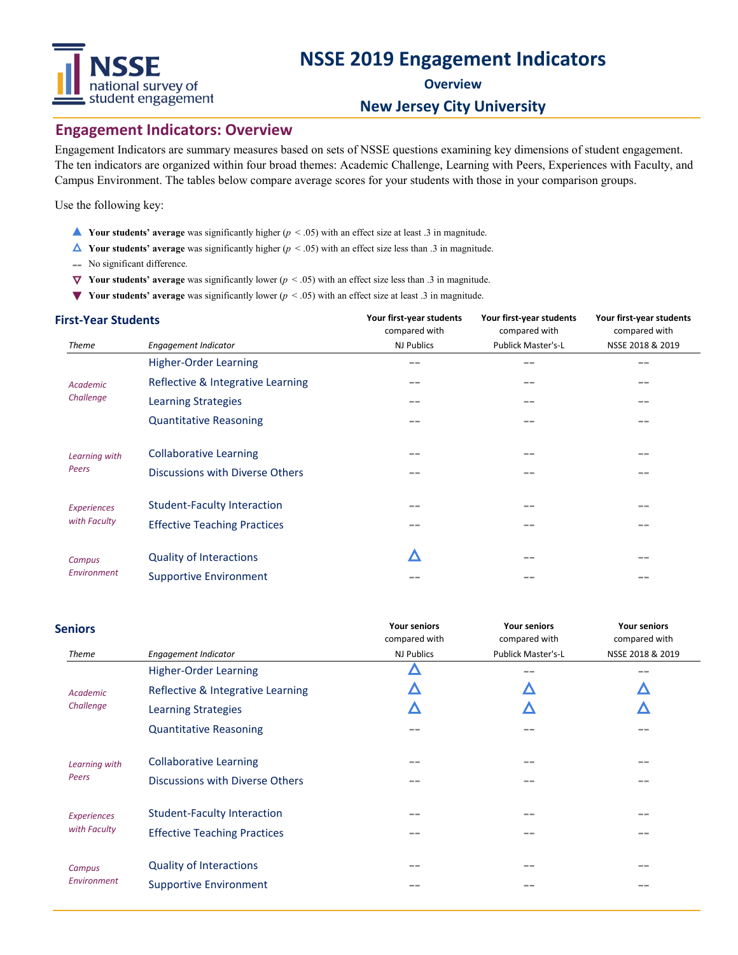

**Overview**

## **New Jersey City University**

## **Engagement Indicators: Overview**

Engagement Indicators are summary measures based on sets of NSSE questions examining key dimensions of student engagement. The ten indicators are organized within four broad themes: Academic Challenge, Learning with Peers, Experiences with Faculty, and Campus Environment. The tables below compare average scores for your students with those in your comparison groups.

Use the following key:

- ▲ **Your students' average** was significantly higher (*p* < .05) with an effect size at least .3 in magnitude.
- $\triangle$  **Your students' average** was significantly higher ( $p < .05$ ) with an effect size less than .3 in magnitude.
- -- No significant difference.
- ▽ **Your students' average** was significantly lower (*p* < .05) with an effect size less than .3 in magnitude.
- **V** Your students' average was significantly lower ( $p < .05$ ) with an effect size at least .3 in magnitude.

| <b>First-Year Students</b> |                                     | Your first-year students<br>compared with | Your first-year students<br>compared with | Your first-year students<br>compared with |
|----------------------------|-------------------------------------|-------------------------------------------|-------------------------------------------|-------------------------------------------|
| <b>Theme</b>               | Engagement Indicator                | NJ Publics                                | <b>Publick Master's-L</b>                 | NSSE 2018 & 2019                          |
|                            | <b>Higher-Order Learning</b>        | --                                        | $- -$                                     | $= -$                                     |
| Academic                   | Reflective & Integrative Learning   | --                                        | $- -$                                     | $- -$                                     |
| Challenge                  | <b>Learning Strategies</b>          | --                                        | $- -$                                     | $- -$                                     |
|                            | <b>Quantitative Reasoning</b>       | --                                        | $- -$                                     | $- -$                                     |
| Learning with              | <b>Collaborative Learning</b>       | --                                        | $- -$                                     | $- -$                                     |
| Peers                      | Discussions with Diverse Others     | --                                        | $- -$                                     | $- -$                                     |
| <b>Experiences</b>         | <b>Student-Faculty Interaction</b>  | --                                        | $- -$                                     | $- -$                                     |
| with Faculty               | <b>Effective Teaching Practices</b> | --                                        | $= -$                                     | $- -$                                     |
| Campus                     | <b>Quality of Interactions</b>      | ୵                                         | $=$ $-$                                   | $=$ $-$                                   |
| Environment                | <b>Supportive Environment</b>       | --                                        | $=$ $-$                                   | $= -$                                     |

| <b>Seniors</b>     |                                     | <b>Your seniors</b><br>compared with | <b>Your seniors</b><br>compared with | <b>Your seniors</b><br>compared with |
|--------------------|-------------------------------------|--------------------------------------|--------------------------------------|--------------------------------------|
| <b>Theme</b>       | Engagement Indicator                | NJ Publics                           | <b>Publick Master's-L</b>            | NSSE 2018 & 2019                     |
|                    | <b>Higher-Order Learning</b>        |                                      | $- -$                                | --                                   |
| Academic           | Reflective & Integrative Learning   |                                      |                                      |                                      |
| Challenge          | <b>Learning Strategies</b>          |                                      |                                      |                                      |
|                    | <b>Quantitative Reasoning</b>       |                                      | --                                   |                                      |
| Learning with      | <b>Collaborative Learning</b>       | $=$ $-$                              | $= -$                                | $- -$                                |
| Peers              | Discussions with Diverse Others     | --                                   | $=$ $-$                              | --                                   |
| <b>Experiences</b> | <b>Student-Faculty Interaction</b>  | $= -$                                | $- -$                                | $- -$                                |
| with Faculty       | <b>Effective Teaching Practices</b> | $- -$                                | $=$ $-$                              | --                                   |
| Campus             | <b>Quality of Interactions</b>      | $= -$                                | $- -$                                | --                                   |
| Environment        | <b>Supportive Environment</b>       | --                                   | $- -$                                | --                                   |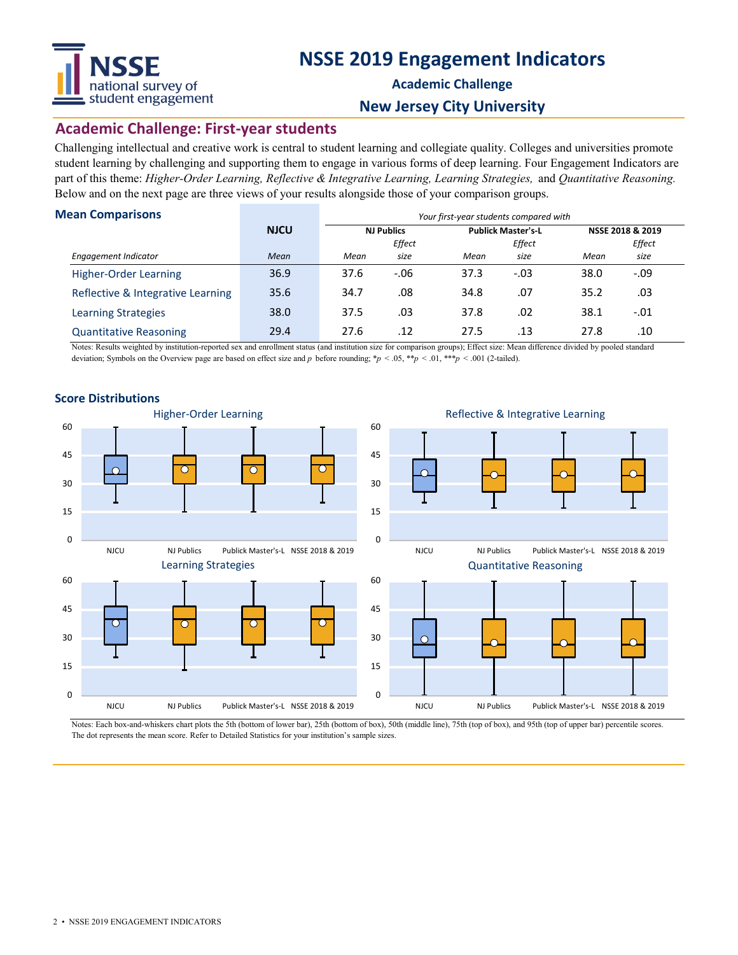

**Academic Challenge**

# **New Jersey City University**

# **Academic Challenge: First-year students**

Challenging intellectual and creative work is central to student learning and collegiate quality. Colleges and universities promote student learning by challenging and supporting them to engage in various forms of deep learning. Four Engagement Indicators are part of this theme: *Higher-Order Learning, Reflective & Integrative Learning, Learning Strategies,* and *Quantitative Reasoning.*  Below and on the next page are three views of your results alongside those of your comparison groups.

| <b>Mean Comparisons</b>           |             | Your first-year students compared with |        |      |                           |      |                  |  |
|-----------------------------------|-------------|----------------------------------------|--------|------|---------------------------|------|------------------|--|
|                                   | <b>NJCU</b> | <b>NJ Publics</b>                      |        |      | <b>Publick Master's-L</b> |      | NSSE 2018 & 2019 |  |
|                                   |             |                                        | Effect |      | Effect                    |      | Effect           |  |
| Engagement Indicator              | Mean        | Mean                                   | size   | Mean | size                      | Mean | size             |  |
| Higher-Order Learning             | 36.9        | 37.6                                   | $-.06$ | 37.3 | $-.03$                    | 38.0 | $-.09$           |  |
| Reflective & Integrative Learning | 35.6        | 34.7                                   | .08    | 34.8 | .07                       | 35.2 | .03              |  |
| <b>Learning Strategies</b>        | 38.0        | 37.5                                   | .03    | 37.8 | .02                       | 38.1 | $-.01$           |  |
| <b>Quantitative Reasoning</b>     | 29.4        | 27.6                                   | .12    | 27.5 | .13                       | 27.8 | .10              |  |

Notes: Results weighted by institution-reported sex and enrollment status (and institution size for comparison groups); Effect size: Mean difference divided by pooled standard deviation; Symbols on the Overview page are based on effect size and *p* before rounding; \**p* < .05, \*\**p* < .01, \*\*\**p* < .001 (2-tailed).



**Score Distributions**

Notes: Each box-and-whiskers chart plots the 5th (bottom of lower bar), 25th (bottom of box), 50th (middle line), 75th (top of box), and 95th (top of upper bar) percentile scores. The dot represents the mean score. Refer to Detailed Statistics for your institution's sample sizes.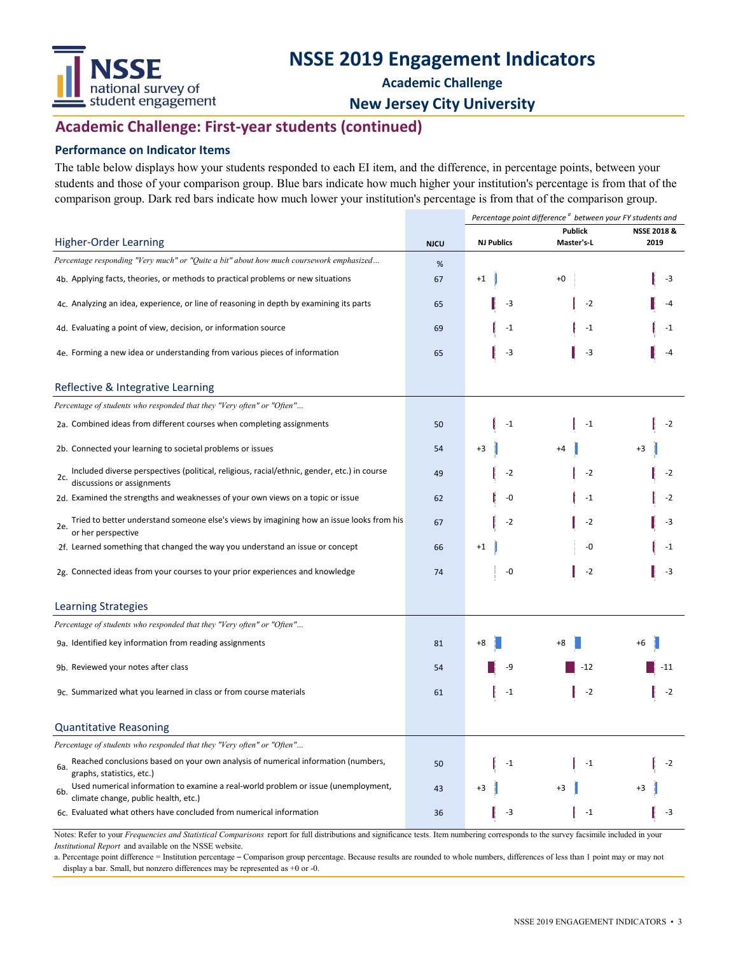

**Academic Challenge**

**New Jersey City University**

# **Academic Challenge: First-year students (continued)**

#### **Performance on Indicator Items**

The table below displays how your students responded to each EI item, and the difference, in percentage points, between your students and those of your comparison group. Blue bars indicate how much higher your institution's percentage is from that of the comparison group. Dark red bars indicate how much lower your institution's percentage is from that of the comparison group.

|                                                                                                                                   |             | Percentage point difference <sup>"</sup> between your FY students and |                              |                     |  |
|-----------------------------------------------------------------------------------------------------------------------------------|-------------|-----------------------------------------------------------------------|------------------------------|---------------------|--|
| <b>Higher-Order Learning</b>                                                                                                      | <b>NJCU</b> | <b>NJ Publics</b>                                                     | <b>Publick</b><br>Master's-L | NSSE 2018 &<br>2019 |  |
| Percentage responding "Very much" or "Quite a bit" about how much coursework emphasized                                           | %           |                                                                       |                              |                     |  |
| 4b. Applying facts, theories, or methods to practical problems or new situations                                                  | 67          | $+1$                                                                  | $+0$                         | -3                  |  |
| 4c. Analyzing an idea, experience, or line of reasoning in depth by examining its parts                                           | 65          | -3                                                                    | -2                           |                     |  |
| 4d. Evaluating a point of view, decision, or information source                                                                   | 69          | -1                                                                    | -1                           |                     |  |
| 4e. Forming a new idea or understanding from various pieces of information                                                        | 65          | -3                                                                    | -3                           |                     |  |
| Reflective & Integrative Learning                                                                                                 |             |                                                                       |                              |                     |  |
| Percentage of students who responded that they "Very often" or "Often"                                                            |             |                                                                       |                              |                     |  |
| 2a. Combined ideas from different courses when completing assignments                                                             | 50          | $-1$                                                                  | $-1$                         | -2                  |  |
| 2b. Connected your learning to societal problems or issues                                                                        | 54          | $+3$                                                                  | $+4$                         | $+3$                |  |
| Included diverse perspectives (political, religious, racial/ethnic, gender, etc.) in course<br>2c.<br>discussions or assignments  | 49          | -2                                                                    | -2                           | -2                  |  |
| 2d. Examined the strengths and weaknesses of your own views on a topic or issue                                                   | 62          | -0                                                                    | -1                           | -2                  |  |
| Tried to better understand someone else's views by imagining how an issue looks from his<br>2e.<br>or her perspective             | 67          | -2                                                                    | -2                           | -3                  |  |
| 2f. Learned something that changed the way you understand an issue or concept                                                     | 66          | $+1$                                                                  | -0                           | -1                  |  |
| 2g. Connected ideas from your courses to your prior experiences and knowledge                                                     | 74          | -0                                                                    | -2                           | -3                  |  |
| <b>Learning Strategies</b>                                                                                                        |             |                                                                       |                              |                     |  |
| Percentage of students who responded that they "Very often" or "Often"                                                            |             |                                                                       |                              |                     |  |
| 9a. Identified key information from reading assignments                                                                           | 81          | +8                                                                    |                              |                     |  |
| 9b. Reviewed your notes after class                                                                                               | 54          |                                                                       | -12                          | -11                 |  |
| 9c. Summarized what you learned in class or from course materials                                                                 | 61          | -1                                                                    | $-2$                         | -2                  |  |
| <b>Quantitative Reasoning</b>                                                                                                     |             |                                                                       |                              |                     |  |
| Percentage of students who responded that they "Very often" or "Often"                                                            |             |                                                                       |                              |                     |  |
| Reached conclusions based on your own analysis of numerical information (numbers,<br>6а.<br>graphs, statistics, etc.)             | 50          | -1                                                                    | $-1$                         | -2                  |  |
| Used numerical information to examine a real-world problem or issue (unemployment,<br>6b.<br>climate change, public health, etc.) | 43          | $+3$                                                                  | $+3$                         | $+3$                |  |
| 6c. Evaluated what others have concluded from numerical information                                                               | 36          | -3                                                                    | -1                           | -3                  |  |

Notes: Refer to your *Frequencies and Statistical Comparisons* report for full distributions and significance tests. Item numbering corresponds to the survey facsimile included in your *Institutional Report* and available on the NSSE website.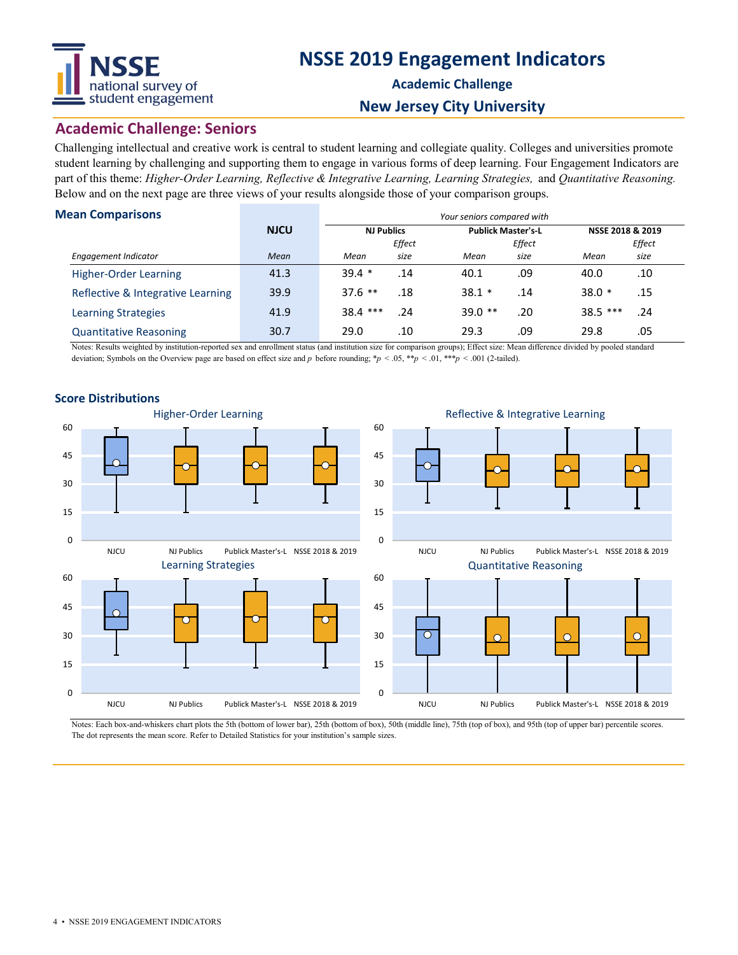

**Academic Challenge**

# **New Jersey City University**

## **Academic Challenge: Seniors**

Challenging intellectual and creative work is central to student learning and collegiate quality. Colleges and universities promote student learning by challenging and supporting them to engage in various forms of deep learning. Four Engagement Indicators are part of this theme: *Higher-Order Learning, Reflective & Integrative Learning, Learning Strategies,* and *Quantitative Reasoning.*  Below and on the next page are three views of your results alongside those of your comparison groups.

| <b>Mean Comparisons</b>           |             | Your seniors compared with |                           |        |                  |        |  |  |
|-----------------------------------|-------------|----------------------------|---------------------------|--------|------------------|--------|--|--|
|                                   | <b>NJCU</b> | <b>NJ Publics</b>          | <b>Publick Master's-L</b> |        | NSSE 2018 & 2019 |        |  |  |
|                                   |             | Effect                     |                           | Effect |                  | Effect |  |  |
| Engagement Indicator              | Mean        | size<br>Mean               | Mean                      | size   | Mean             | size   |  |  |
| Higher-Order Learning             | 41.3        | $39.4*$<br>.14             | 40.1                      | .09    | 40.0             | .10    |  |  |
| Reflective & Integrative Learning | 39.9        | $37.6$ **<br>.18           | $38.1*$                   | .14    | $38.0*$          | .15    |  |  |
| <b>Learning Strategies</b>        | 41.9        | $38.4$ ***<br>.24          | $39.0$ **                 | .20    | $38.5$ ***       | .24    |  |  |
| <b>Quantitative Reasoning</b>     | 30.7        | 29.0<br>.10                | 29.3                      | .09    | 29.8             | .05    |  |  |

Notes: Results weighted by institution-reported sex and enrollment status (and institution size for comparison groups); Effect size: Mean difference divided by pooled standard deviation; Symbols on the Overview page are based on effect size and *p* before rounding; \**p* < .05, \*\**p* < .01, \*\*\**p* < .001 (2-tailed).



**Score Distributions**

Notes: Each box-and-whiskers chart plots the 5th (bottom of lower bar), 25th (bottom of box), 50th (middle line), 75th (top of box), and 95th (top of upper bar) percentile scores. The dot represents the mean score. Refer to Detailed Statistics for your institution's sample sizes.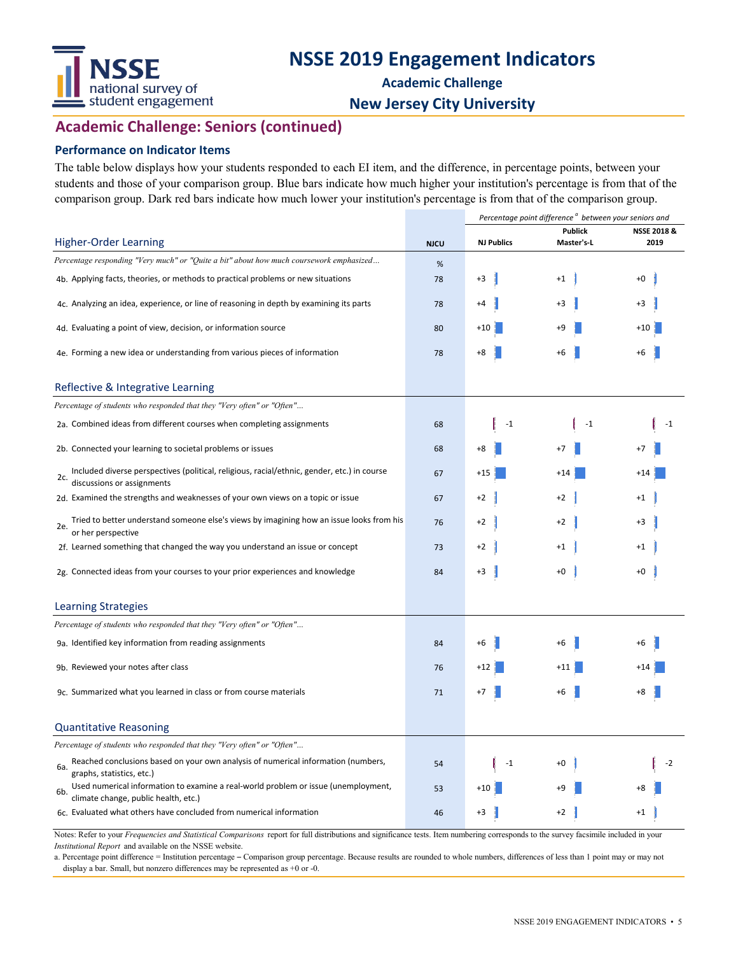

**Academic Challenge**

**New Jersey City University**

# **Academic Challenge: Seniors (continued)**

#### **Performance on Indicator Items**

The table below displays how your students responded to each EI item, and the difference, in percentage points, between your students and those of your comparison group. Blue bars indicate how much higher your institution's percentage is from that of the comparison group. Dark red bars indicate how much lower your institution's percentage is from that of the comparison group.

|                                                                                                                                   |             | Percentage point difference <sup>a</sup> between your seniors and |                              |                     |
|-----------------------------------------------------------------------------------------------------------------------------------|-------------|-------------------------------------------------------------------|------------------------------|---------------------|
| <b>Higher-Order Learning</b>                                                                                                      | <b>NJCU</b> | <b>NJ Publics</b>                                                 | <b>Publick</b><br>Master's-L | NSSE 2018 &<br>2019 |
| Percentage responding "Very much" or "Quite a bit" about how much coursework emphasized                                           | %           |                                                                   |                              |                     |
| 4b. Applying facts, theories, or methods to practical problems or new situations                                                  | 78          | $+3$                                                              | $+1$                         | +0                  |
| 4c. Analyzing an idea, experience, or line of reasoning in depth by examining its parts                                           | 78          | +4                                                                | $+3$                         | +3                  |
| 4d. Evaluating a point of view, decision, or information source                                                                   | 80          | $+10$                                                             |                              |                     |
| 4e. Forming a new idea or understanding from various pieces of information                                                        | 78          | +8                                                                | +6                           |                     |
| Reflective & Integrative Learning                                                                                                 |             |                                                                   |                              |                     |
| Percentage of students who responded that they "Very often" or "Often"                                                            |             |                                                                   |                              |                     |
| 2a. Combined ideas from different courses when completing assignments                                                             | 68          | $-1$                                                              | $-1$                         |                     |
| 2b. Connected your learning to societal problems or issues                                                                        | 68          | +8                                                                | $+7$                         | +7                  |
| Included diverse perspectives (political, religious, racial/ethnic, gender, etc.) in course<br>2c.<br>discussions or assignments  | 67          | $+15$                                                             | $+14$                        |                     |
| 2d. Examined the strengths and weaknesses of your own views on a topic or issue                                                   | 67          | $+2$                                                              | $+2$                         | +1                  |
| Tried to better understand someone else's views by imagining how an issue looks from his<br>2e.<br>or her perspective             | 76          | $+2$                                                              | $+2$                         | +3                  |
| 2f. Learned something that changed the way you understand an issue or concept                                                     | 73          | $+2$                                                              | $+1$                         | +1                  |
| 2g. Connected ideas from your courses to your prior experiences and knowledge                                                     | 84          | $+3$                                                              | $+0$                         | +0                  |
| <b>Learning Strategies</b>                                                                                                        |             |                                                                   |                              |                     |
| Percentage of students who responded that they "Very often" or "Often"                                                            |             |                                                                   |                              |                     |
| 9a. Identified key information from reading assignments                                                                           | 84          | +6                                                                |                              |                     |
| 9b. Reviewed your notes after class                                                                                               | 76          | $+12$                                                             |                              |                     |
| 9c. Summarized what you learned in class or from course materials                                                                 | 71          | $+7$                                                              | +6                           |                     |
| <b>Quantitative Reasoning</b>                                                                                                     |             |                                                                   |                              |                     |
| Percentage of students who responded that they "Very often" or "Often"                                                            |             |                                                                   |                              |                     |
| Reached conclusions based on your own analysis of numerical information (numbers,<br>6а.<br>graphs, statistics, etc.)             | 54          | $-1$                                                              | +0                           | -2                  |
| Used numerical information to examine a real-world problem or issue (unemployment,<br>6b.<br>climate change, public health, etc.) | 53          | $+10$                                                             |                              |                     |
| 6c. Evaluated what others have concluded from numerical information                                                               | 46          | $+3$                                                              | $+2$                         | +1                  |

Notes: Refer to your *Frequencies and Statistical Comparisons* report for full distributions and significance tests. Item numbering corresponds to the survey facsimile included in your *Institutional Report* and available on the NSSE website.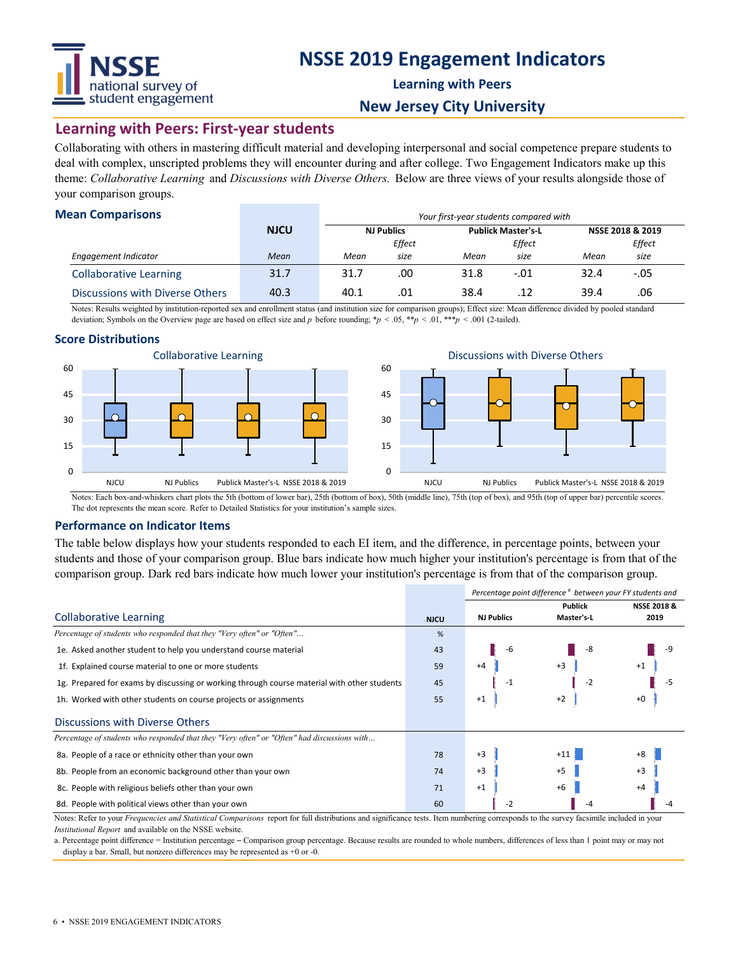

**Learning with Peers**

## **New Jersey City University**

## **Learning with Peers: First-year students**

Collaborating with others in mastering difficult material and developing interpersonal and social competence prepare students to deal with complex, unscripted problems they will encounter during and after college. Two Engagement Indicators make up this theme: *Collaborative Learning* and *Discussions with Diverse Others.* Below are three views of your results alongside those of your comparison groups.

### **Mean Comparisons**

| iean comparisons                |             | Your first-year students compared with |        |      |                           |      |                  |  |
|---------------------------------|-------------|----------------------------------------|--------|------|---------------------------|------|------------------|--|
|                                 | <b>NJCU</b> | <b>NJ Publics</b>                      |        |      | <b>Publick Master's-L</b> |      | NSSE 2018 & 2019 |  |
|                                 |             |                                        | Effect |      | Effect                    |      | Effect           |  |
| Engagement Indicator            | Mean        | Mean                                   | size   | Mean | size                      | Mean | size             |  |
| <b>Collaborative Learning</b>   | 31.7        | 31.7                                   | .00    | 31.8 | $-.01$                    | 32.4 | -.05             |  |
| Discussions with Diverse Others | 40.3        | 40.1                                   | .01    | 38.4 | .12                       | 39.4 | .06              |  |

Notes: Results weighted by institution-reported sex and enrollment status (and institution size for comparison groups); Effect size: Mean difference divided by pooled standard deviation; Symbols on the Overview page are based on effect size and *p* before rounding; \**p* < .05, \*\**p* < .01, \*\*\**p* < .001 (2-tailed).

#### **Score Distributions**



Notes: Each box-and-whiskers chart plots the 5th (bottom of lower bar), 25th (bottom of box), 50th (middle line), 75th (top of box), and 95th (top of upper bar) percentile scores. The dot represents the mean score. Refer to Detailed Statistics for your institution's sample sizes.

#### **Performance on Indicator Items**

The table below displays how your students responded to each EI item, and the difference, in percentage points, between your students and those of your comparison group. Blue bars indicate how much higher your institution's percentage is from that of the comparison group. Dark red bars indicate how much lower your institution's percentage is from that of the comparison group.

|                                                                                             |             |                   | Percentage point difference <sup>a</sup> between your FY students and |       |                        |      |
|---------------------------------------------------------------------------------------------|-------------|-------------------|-----------------------------------------------------------------------|-------|------------------------|------|
|                                                                                             |             | <b>Publick</b>    |                                                                       |       | <b>NSSE 2018 &amp;</b> |      |
| <b>Collaborative Learning</b>                                                               | <b>NJCU</b> | <b>NJ Publics</b> |                                                                       |       | Master's-L             | 2019 |
| Percentage of students who responded that they "Very often" or "Often"                      | %           |                   |                                                                       |       |                        |      |
| 1e. Asked another student to help you understand course material                            | 43          |                   | -6                                                                    |       | -8                     |      |
| 1f. Explained course material to one or more students                                       | 59          | $+4$              |                                                                       | $+3$  |                        | $+1$ |
| 1g. Prepared for exams by discussing or working through course material with other students | 45          |                   | -1                                                                    |       | $-2$                   |      |
| 1h. Worked with other students on course projects or assignments                            | 55          | $+1$              |                                                                       | $+2$  |                        | $+0$ |
| Discussions with Diverse Others                                                             |             |                   |                                                                       |       |                        |      |
| Percentage of students who responded that they "Very often" or "Often" had discussions with |             |                   |                                                                       |       |                        |      |
| 8a. People of a race or ethnicity other than your own                                       | 78          | $+3$              |                                                                       | $+11$ |                        | $+8$ |
| 8b. People from an economic background other than your own                                  | 74          | $+3$              |                                                                       | $+5$  |                        | $+3$ |
| 8c. People with religious beliefs other than your own                                       | 71          | $+1$              |                                                                       | $+6$  |                        | $+4$ |
| 8d. People with political views other than your own                                         | 60          |                   | -2                                                                    |       |                        |      |

Notes: Refer to your *Frequencies and Statistical Comparisons* report for full distributions and significance tests. Item numbering corresponds to the survey facsimile included in your *Institutional Report* and available on the NSSE website.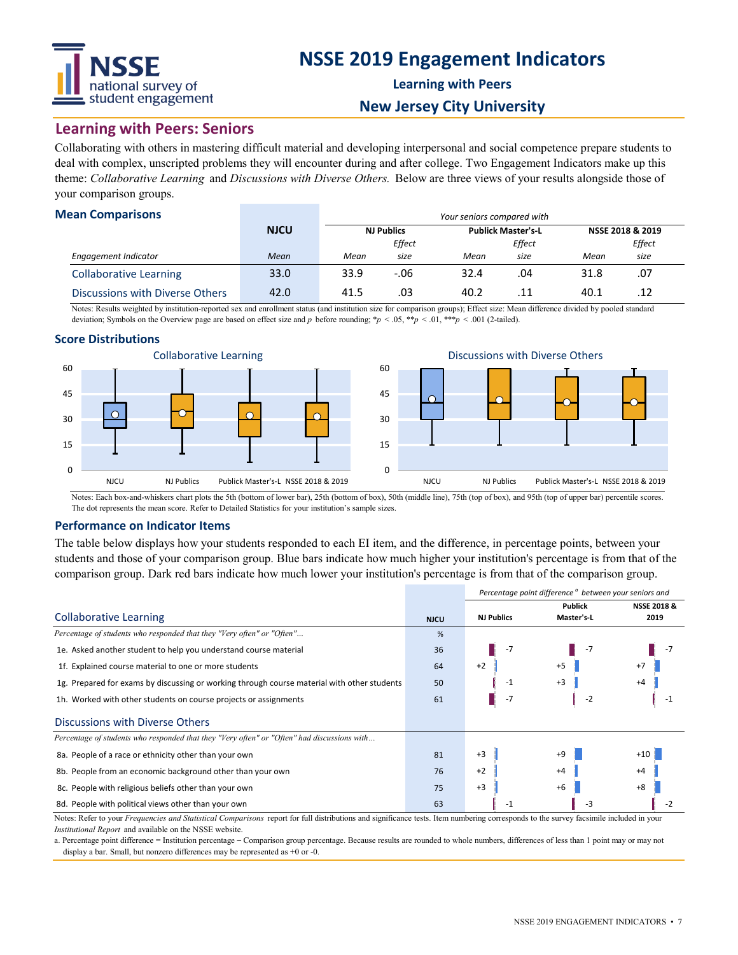

**Learning with Peers**

# **New Jersey City University**

### **Learning with Peers: Seniors**

Collaborating with others in mastering difficult material and developing interpersonal and social competence prepare students to deal with complex, unscripted problems they will encounter during and after college. Two Engagement Indicators make up this theme: *Collaborative Learning* and *Discussions with Diverse Others.* Below are three views of your results alongside those of your comparison groups.

#### **Mean Comparisons**

| lean Compansons                 |             | Your seniors compared with |                   |      |                           |      |                  |  |
|---------------------------------|-------------|----------------------------|-------------------|------|---------------------------|------|------------------|--|
|                                 | <b>NJCU</b> |                            | <b>NJ Publics</b> |      | <b>Publick Master's-L</b> |      | NSSE 2018 & 2019 |  |
|                                 |             |                            | <b>Effect</b>     |      | Effect                    |      | Effect           |  |
| Engagement Indicator            | Mean        | Mean                       | size              | Mean | size                      | Mean | size             |  |
| <b>Collaborative Learning</b>   | 33.0        | 33.9                       | $-.06$            | 32.4 | .04                       | 31.8 | .07              |  |
| Discussions with Diverse Others | 42.0        | 41.5                       | .03               | 40.2 |                           | 40.1 | .12              |  |

Notes: Results weighted by institution-reported sex and enrollment status (and institution size for comparison groups); Effect size: Mean difference divided by pooled standard deviation; Symbols on the Overview page are based on effect size and *p* before rounding; \**p* < .05, \*\**p* < .01, \*\*\**p* < .001 (2-tailed).

#### **Score Distributions**



Notes: Each box-and-whiskers chart plots the 5th (bottom of lower bar), 25th (bottom of box), 50th (middle line), 75th (top of box), and 95th (top of upper bar) percentile scores. The dot represents the mean score. Refer to Detailed Statistics for your institution's sample sizes.

#### **Performance on Indicator Items**

The table below displays how your students responded to each EI item, and the difference, in percentage points, between your students and those of your comparison group. Blue bars indicate how much higher your institution's percentage is from that of the comparison group. Dark red bars indicate how much lower your institution's percentage is from that of the comparison group.

|                                                                                             |             |                   | Percentage point difference <sup>a</sup> between your seniors and |            |                        |  |
|---------------------------------------------------------------------------------------------|-------------|-------------------|-------------------------------------------------------------------|------------|------------------------|--|
|                                                                                             |             |                   |                                                                   | Publick    | <b>NSSE 2018 &amp;</b> |  |
| <b>Collaborative Learning</b>                                                               | <b>NJCU</b> | <b>NJ Publics</b> |                                                                   | Master's-L | 2019                   |  |
| Percentage of students who responded that they "Very often" or "Often"                      | %           |                   |                                                                   |            |                        |  |
| 1e. Asked another student to help you understand course material                            | 36          |                   | $-7$                                                              | $-7$       |                        |  |
| 1f. Explained course material to one or more students                                       | 64          | $+2$              | $+5$                                                              |            | $+7$                   |  |
| 1g. Prepared for exams by discussing or working through course material with other students | 50          |                   | $+3$<br>-1                                                        |            | $+4$                   |  |
| 1h. Worked with other students on course projects or assignments                            | 61          |                   |                                                                   | $-2$       |                        |  |
| Discussions with Diverse Others                                                             |             |                   |                                                                   |            |                        |  |
| Percentage of students who responded that they "Very often" or "Often" had discussions with |             |                   |                                                                   |            |                        |  |
| 8a. People of a race or ethnicity other than your own                                       | 81          | $+3$              | +9                                                                |            | $+10$                  |  |
| 8b. People from an economic background other than your own                                  | 76          | $+2$              | $+4$                                                              |            | $+4$                   |  |
| 8c. People with religious beliefs other than your own                                       | 75          | $+3$              | $+6$                                                              |            | $+8$                   |  |
| 8d. People with political views other than your own                                         | 63          |                   | -1                                                                | -3         |                        |  |

Notes: Refer to your *Frequencies and Statistical Comparisons* report for full distributions and significance tests. Item numbering corresponds to the survey facsimile included in your *Institutional Report* and available on the NSSE website.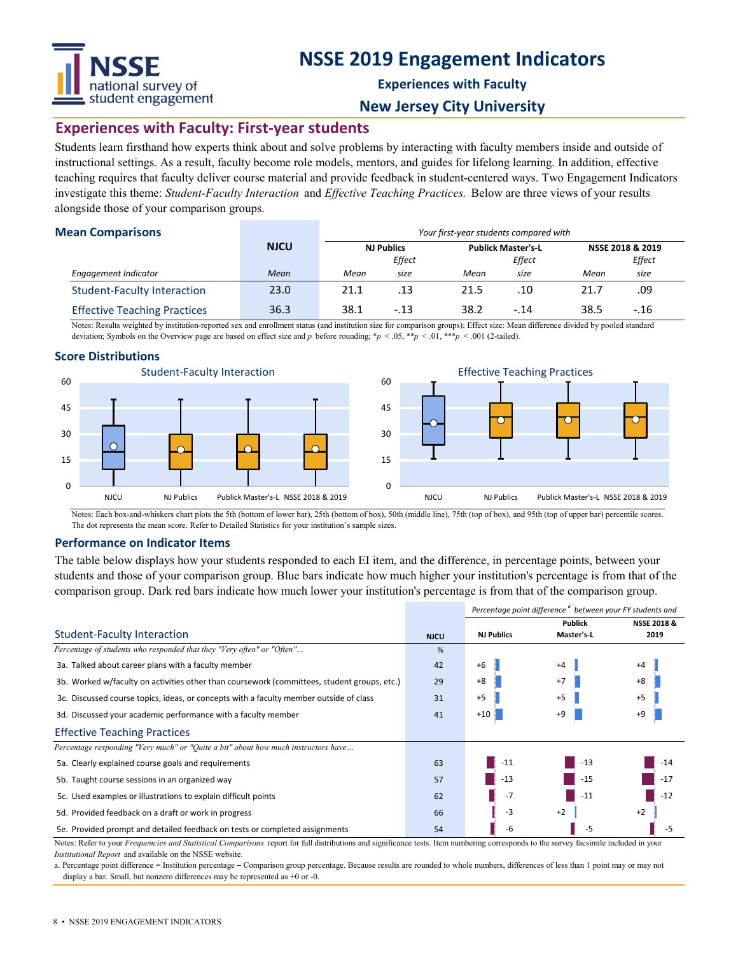

**Experiences with Faculty**

## **New Jersey City University**

# **Experiences with Faculty: First-year students**

Students learn firsthand how experts think about and solve problems by interacting with faculty members inside and outside of instructional settings. As a result, faculty become role models, mentors, and guides for lifelong learning. In addition, effective teaching requires that faculty deliver course material and provide feedback in student-centered ways. Two Engagement Indicators investigate this theme: *Student-Faculty Interaction* and *Effective Teaching Practices.* Below are three views of your results alongside those of your comparison groups.

### **Mean Comparisons**

| lean Comparisons                    |             | Your first-year students compared with |                   |      |                           |      |                  |  |
|-------------------------------------|-------------|----------------------------------------|-------------------|------|---------------------------|------|------------------|--|
|                                     | <b>NJCU</b> |                                        | <b>NJ Publics</b> |      | <b>Publick Master's-L</b> |      | NSSE 2018 & 2019 |  |
|                                     |             |                                        | Effect            |      | Effect                    |      | Effect           |  |
| Engagement Indicator                | Mean        | Mean                                   | size              | Mean | size                      | Mean | size             |  |
| <b>Student-Faculty Interaction</b>  | 23.0        | 21.1                                   | .13               | 21.5 | .10                       | 21.7 | .09              |  |
| <b>Effective Teaching Practices</b> | 36.3        | 38.1                                   | $-.13$            | 38.2 | $-.14$                    | 38.5 | $-.16$           |  |

Notes: Results weighted by institution-reported sex and enrollment status (and institution size for comparison groups); Effect size: Mean difference divided by pooled standard deviation; Symbols on the Overview page are based on effect size and *p* before rounding;  $\gamma p < 0.05$ ,  $\gamma p < 0.01$ ,  $\gamma p$  = .001 (2-tailed).

#### **Score Distributions**



Notes: Each box-and-whiskers chart plots the 5th (bottom of lower bar), 25th (bottom of box), 50th (middle line), 75th (top of box), and 95th (top of upper bar) percentile scores. The dot represents the mean score. Refer to Detailed Statistics for your institution's sample sizes.

#### **Performance on Indicator Items**

The table below displays how your students responded to each EI item, and the difference, in percentage points, between your students and those of your comparison group. Blue bars indicate how much higher your institution's percentage is from that of the comparison group. Dark red bars indicate how much lower your institution's percentage is from that of the comparison group.

*Percentage point difference a between your FY students and*

| Percentage point aifference – between your FY students and                                  |             |                   |                |                        |
|---------------------------------------------------------------------------------------------|-------------|-------------------|----------------|------------------------|
|                                                                                             |             |                   | <b>Publick</b> | <b>NSSE 2018 &amp;</b> |
| <b>Student-Faculty Interaction</b>                                                          | <b>NJCU</b> | <b>NJ Publics</b> | Master's-L     | 2019                   |
| Percentage of students who responded that they "Very often" or "Often"                      | %           |                   |                |                        |
| 3a. Talked about career plans with a faculty member                                         | 42          | $+6$              | $+4$           | $+4$                   |
| 3b. Worked w/faculty on activities other than coursework (committees, student groups, etc.) | 29          | $+8$              | $+7$           | $+8$                   |
| 3c. Discussed course topics, ideas, or concepts with a faculty member outside of class      | 31          | $+5$              | $+5$           | $+5$                   |
| 3d. Discussed your academic performance with a faculty member                               | 41          | $+10$             | $+9$           | $+9$                   |
| <b>Effective Teaching Practices</b>                                                         |             |                   |                |                        |
| Percentage responding "Very much" or "Quite a bit" about how much instructors have          |             |                   |                |                        |
| 5a. Clearly explained course goals and requirements                                         | 63          | $-11$             | $-13$          | $-14$                  |
| 5b. Taught course sessions in an organized way                                              | 57          | $-13$             | $-15$          | $-17$                  |
| 5c. Used examples or illustrations to explain difficult points                              | 62          | $-7$              | $-11$          | $-12$                  |
| 5d. Provided feedback on a draft or work in progress                                        | 66          | -3                | $+2$           | $+2$                   |
| 5e. Provided prompt and detailed feedback on tests or completed assignments                 | 54          | -6                |                |                        |
|                                                                                             |             |                   |                |                        |

Notes: Refer to your *Frequencies and Statistical Comparisons* report for full distributions and significance tests. Item numbering corresponds to the survey facsimile included in your *Institutional Report* and available on the NSSE website.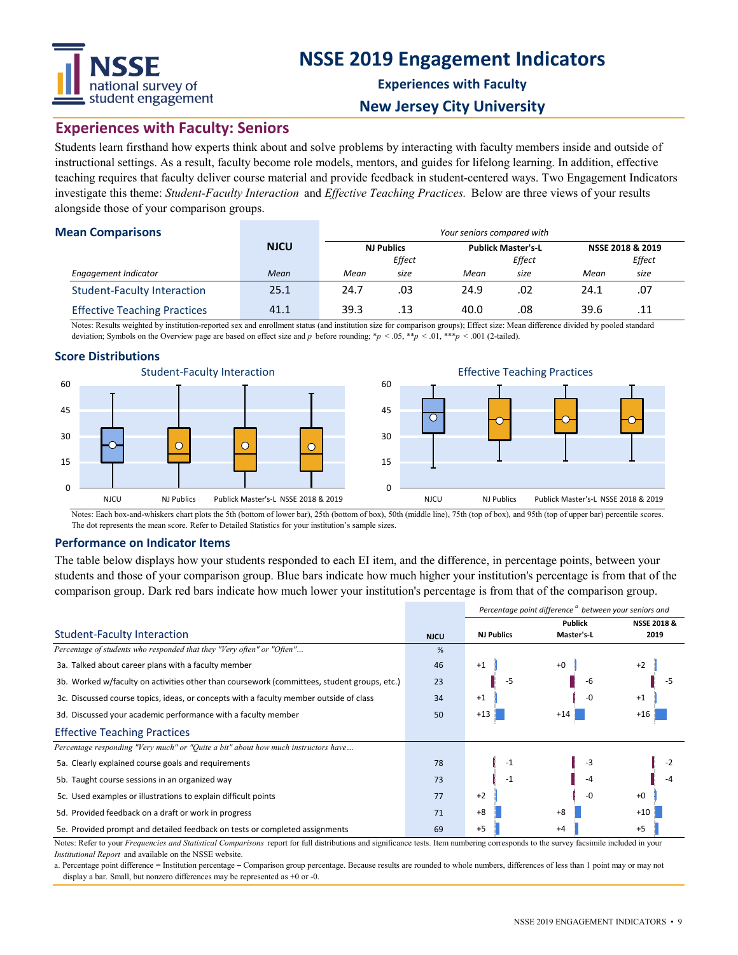

**Experiences with Faculty**

# **New Jersey City University**

## **Experiences with Faculty: Seniors**

Students learn firsthand how experts think about and solve problems by interacting with faculty members inside and outside of instructional settings. As a result, faculty become role models, mentors, and guides for lifelong learning. In addition, effective teaching requires that faculty deliver course material and provide feedback in student-centered ways. Two Engagement Indicators investigate this theme: *Student-Faculty Interaction* and *Effective Teaching Practices.* Below are three views of your results alongside those of your comparison groups.

## **Mean Comparisons**

| lean Comparisons                    |             | Your seniors compared with  |      |                                     |      |      |                            |  |  |
|-------------------------------------|-------------|-----------------------------|------|-------------------------------------|------|------|----------------------------|--|--|
|                                     | <b>NJCU</b> | <b>NJ Publics</b><br>Effect |      | <b>Publick Master's-L</b><br>Effect |      |      | NSSE 2018 & 2019<br>Effect |  |  |
| Engagement Indicator                | Mean        | Mean                        | size | Mean                                | size | Mean | size                       |  |  |
| <b>Student-Faculty Interaction</b>  | 25.1        | 24.7                        | .03  | 24.9                                | .02  | 24.1 | .07                        |  |  |
| <b>Effective Teaching Practices</b> | 41.1        | 39.3                        | .13  | 40.0                                | .08  | 39.6 | .11                        |  |  |

Notes: Results weighted by institution-reported sex and enrollment status (and institution size for comparison groups); Effect size: Mean difference divided by pooled standard deviation; Symbols on the Overview page are based on effect size and *p* before rounding;  $\gamma p < 0.05$ ,  $\gamma p < 0.01$ ,  $\gamma p$  = .001 (2-tailed).

#### **Score Distributions**



Notes: Each box-and-whiskers chart plots the 5th (bottom of lower bar), 25th (bottom of box), 50th (middle line), 75th (top of box), and 95th (top of upper bar) percentile scores. The dot represents the mean score. Refer to Detailed Statistics for your institution's sample sizes.

#### **Performance on Indicator Items**

The table below displays how your students responded to each EI item, and the difference, in percentage points, between your students and those of your comparison group. Blue bars indicate how much higher your institution's percentage is from that of the comparison group. Dark red bars indicate how much lower your institution's percentage is from that of the comparison group.

|                                                                                             |             | Percentage point difference <sup>a</sup> between your seniors and |       |                |                        |  |
|---------------------------------------------------------------------------------------------|-------------|-------------------------------------------------------------------|-------|----------------|------------------------|--|
|                                                                                             |             |                                                                   |       | <b>Publick</b> | <b>NSSE 2018 &amp;</b> |  |
| <b>Student-Faculty Interaction</b>                                                          | <b>NJCU</b> | <b>NJ Publics</b>                                                 |       | Master's-L     | 2019                   |  |
| Percentage of students who responded that they "Very often" or "Often"                      | %           |                                                                   |       |                |                        |  |
| 3a. Talked about career plans with a faculty member                                         | 46          | $+1$                                                              | $+0$  |                | $+2$                   |  |
| 3b. Worked w/faculty on activities other than coursework (committees, student groups, etc.) | 23          |                                                                   | -5    |                |                        |  |
| 3c. Discussed course topics, ideas, or concepts with a faculty member outside of class      | 34          | $+1$                                                              |       | -0             | $+1$                   |  |
| 3d. Discussed your academic performance with a faculty member                               | 50          | $+13$                                                             | $+14$ |                | $+16$                  |  |
| <b>Effective Teaching Practices</b>                                                         |             |                                                                   |       |                |                        |  |
| Percentage responding "Very much" or "Quite a bit" about how much instructors have          |             |                                                                   |       |                |                        |  |
| 5a. Clearly explained course goals and requirements                                         | 78          |                                                                   | -1    |                |                        |  |
| 5b. Taught course sessions in an organized way                                              | 73          |                                                                   |       |                |                        |  |
| 5c. Used examples or illustrations to explain difficult points                              | 77          | $+2$                                                              |       | -0             | $+0$                   |  |
| 5d. Provided feedback on a draft or work in progress                                        | 71          | $+8$                                                              | $+8$  |                | $+10$                  |  |
| 5e. Provided prompt and detailed feedback on tests or completed assignments                 | 69          | $+5$                                                              | $+4$  |                | $+5$                   |  |
|                                                                                             |             |                                                                   |       |                |                        |  |

Notes: Refer to your *Frequencies and Statistical Comparisons* report for full distributions and significance tests. Item numbering corresponds to the survey facsimile included in your *Institutional Report* and available on the NSSE website.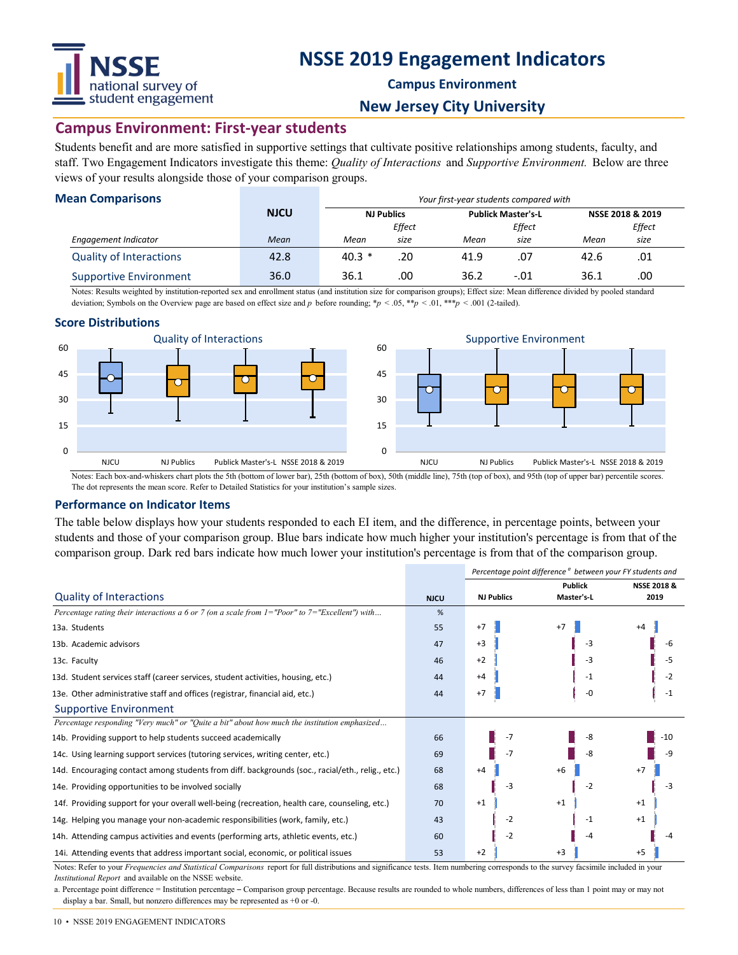

**Campus Environment**

# **New Jersey City University**

# **Campus Environment: First-year students**

Students benefit and are more satisfied in supportive settings that cultivate positive relationships among students, faculty, and staff. Two Engagement Indicators investigate this theme: *Quality of Interactions* and *Supportive Environment.* Below are three views of your results alongside those of your comparison groups.

| <b>Mean Comparisons</b>        |             | Your first-year students compared with |        |                           |        |      |                  |  |  |
|--------------------------------|-------------|----------------------------------------|--------|---------------------------|--------|------|------------------|--|--|
|                                | <b>NJCU</b> | <b>NJ Publics</b>                      |        | <b>Publick Master's-L</b> |        |      | NSSE 2018 & 2019 |  |  |
|                                |             |                                        | Effect |                           | Effect |      | Effect           |  |  |
| Engagement Indicator           | Mean        | Mean                                   | size   | Mean                      | size   | Mean | size             |  |  |
| <b>Quality of Interactions</b> | 42.8        | $40.3*$                                | .20    | 41.9                      | .07    | 42.6 | .01              |  |  |
| <b>Supportive Environment</b>  | 36.0        | 36.1                                   | .00    | 36.2                      | $-.01$ | 36.1 | .00              |  |  |

Notes: Results weighted by institution-reported sex and enrollment status (and institution size for comparison groups); Effect size: Mean difference divided by pooled standard deviation; Symbols on the Overview page are based on effect size and *p* before rounding; \**p* < .05, \*\**p* < .01, \*\*\**p* < .001 (2-tailed).

#### **Score Distributions**



The dot represents the mean score. Refer to Detailed Statistics for your institution's sample sizes.

#### **Performance on Indicator Items**

The table below displays how your students responded to each EI item, and the difference, in percentage points, between your students and those of your comparison group. Blue bars indicate how much higher your institution's percentage is from that of the comparison group. Dark red bars indicate how much lower your institution's percentage is from that of the comparison group.

|                                | Percentage point difference <sup>a</sup> between your FY students and |      |                   |      |                        |  |
|--------------------------------|-----------------------------------------------------------------------|------|-------------------|------|------------------------|--|
| <b>Quality of Interactions</b> |                                                                       |      | <b>Publick</b>    |      | <b>NSSE 2018 &amp;</b> |  |
| <b>NJCU</b>                    |                                                                       |      | Master's-L        |      | 2019                   |  |
| %                              |                                                                       |      |                   |      |                        |  |
| 55                             | $+7$                                                                  |      | $+7$              |      | $+4$                   |  |
| 47                             | $+3$                                                                  |      |                   | -3   |                        |  |
| 46                             | $+2$                                                                  |      |                   | -3   |                        |  |
| 44                             | $+4$                                                                  |      |                   | -1   | $-2$                   |  |
| 44                             | $+7$                                                                  |      |                   | -0   | -1                     |  |
|                                |                                                                       |      |                   |      |                        |  |
|                                |                                                                       |      |                   |      |                        |  |
| 66                             |                                                                       |      |                   | -8   | $-10$                  |  |
| 69                             |                                                                       |      |                   | -8   |                        |  |
| 68                             | $+4$                                                                  |      | +6                |      | $+7$                   |  |
| 68                             |                                                                       | -3   |                   | -2   | -3                     |  |
| 70                             | $+1$                                                                  |      | $+1$              |      | $+1$                   |  |
| 43                             |                                                                       | -2   |                   | $-1$ | $+1$                   |  |
| 60                             |                                                                       | $-2$ |                   | -4   |                        |  |
| 53                             | $+2$                                                                  |      | $+3$              |      | $+5$                   |  |
|                                |                                                                       |      | <b>NJ Publics</b> |      |                        |  |

Notes: Refer to your *Frequencies and Statistical Comparisons* report for full distributions and significance tests. Item numbering corresponds to the survey facsimile included in your *Institutional Report* and available on the NSSE website.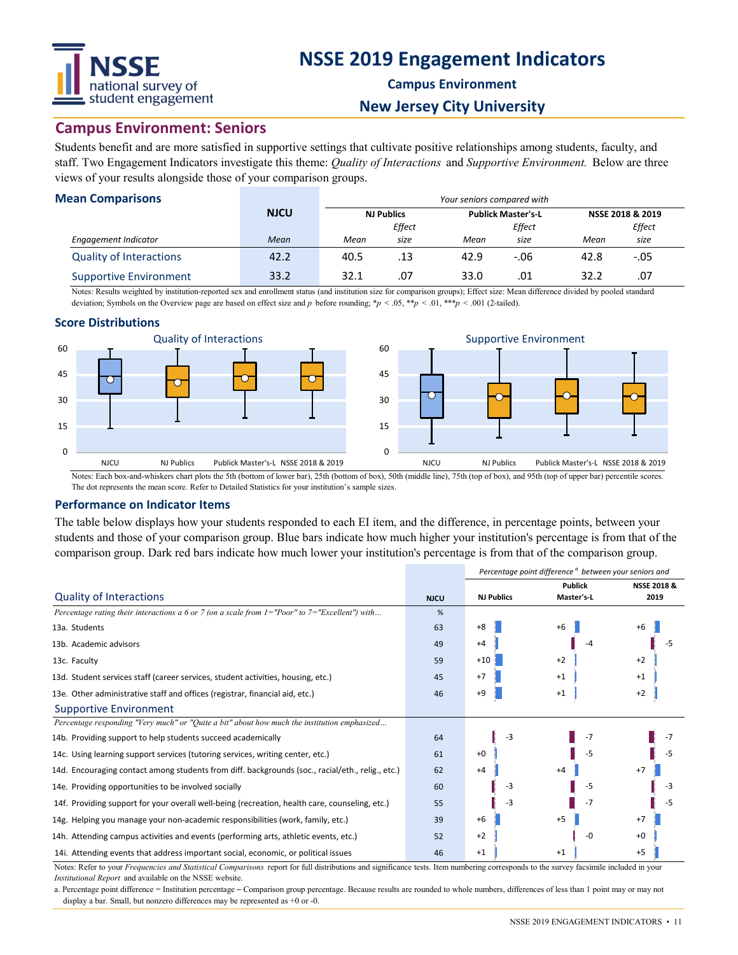

**Campus Environment**

# **New Jersey City University**

## **Campus Environment: Seniors**

Students benefit and are more satisfied in supportive settings that cultivate positive relationships among students, faculty, and staff. Two Engagement Indicators investigate this theme: *Quality of Interactions* and *Supportive Environment.* Below are three views of your results alongside those of your comparison groups.

| <b>Mean Comparisons</b>        |             | Your seniors compared with |        |                           |        |                  |        |  |  |
|--------------------------------|-------------|----------------------------|--------|---------------------------|--------|------------------|--------|--|--|
|                                | <b>NJCU</b> | <b>NJ Publics</b>          |        | <b>Publick Master's-L</b> |        | NSSE 2018 & 2019 |        |  |  |
|                                |             |                            | Effect |                           | Effect |                  | Effect |  |  |
| Engagement Indicator           | Mean        | Mean                       | size   | Mean                      | size   | Mean             | size   |  |  |
| <b>Quality of Interactions</b> | 42.2        | 40.5                       | .13    | 42.9                      | $-.06$ | 42.8             | $-.05$ |  |  |
| <b>Supportive Environment</b>  | 33.2        | 32.1                       | .07    | 33.0                      | .01    | 32.2             | .07    |  |  |

Notes: Results weighted by institution-reported sex and enrollment status (and institution size for comparison groups); Effect size: Mean difference divided by pooled standard deviation; Symbols on the Overview page are based on effect size and *p* before rounding; \**p* < .05, \*\**p* < .01, \*\*\**p* < .001 (2-tailed).

#### **Score Distributions**



The dot represents the mean score. Refer to Detailed Statistics for your institution's sample sizes.

#### **Performance on Indicator Items**

The table below displays how your students responded to each EI item, and the difference, in percentage points, between your students and those of your comparison group. Blue bars indicate how much higher your institution's percentage is from that of the comparison group. Dark red bars indicate how much lower your institution's percentage is from that of the comparison group.

|                                                                                                                                                                                                                                                                                                                                   |    | Percentage point difference <sup>a</sup> between your seniors and |                                                                      |                |      |                        |  |
|-----------------------------------------------------------------------------------------------------------------------------------------------------------------------------------------------------------------------------------------------------------------------------------------------------------------------------------|----|-------------------------------------------------------------------|----------------------------------------------------------------------|----------------|------|------------------------|--|
|                                                                                                                                                                                                                                                                                                                                   |    |                                                                   |                                                                      | <b>Publick</b> |      | <b>NSSE 2018 &amp;</b> |  |
| <b>Quality of Interactions</b>                                                                                                                                                                                                                                                                                                    |    | <b>NJ Publics</b>                                                 |                                                                      | Master's-L     |      | 2019                   |  |
| Percentage rating their interactions a 6 or 7 (on a scale from $I="poor"$ to $7="Exception"$ with                                                                                                                                                                                                                                 | %  |                                                                   |                                                                      |                |      |                        |  |
| 13a. Students                                                                                                                                                                                                                                                                                                                     | 63 | $+8$                                                              | $+6$                                                                 |                | $+6$ |                        |  |
| 13b. Academic advisors                                                                                                                                                                                                                                                                                                            | 49 | $+4$                                                              |                                                                      |                |      |                        |  |
| 13c. Faculty                                                                                                                                                                                                                                                                                                                      | 59 | $+10$                                                             | $+2$                                                                 |                | $+2$ |                        |  |
| 13d. Student services staff (career services, student activities, housing, etc.)                                                                                                                                                                                                                                                  | 45 | $+7$                                                              | $+1$                                                                 |                | $+1$ |                        |  |
| 13e. Other administrative staff and offices (registrar, financial aid, etc.)                                                                                                                                                                                                                                                      | 46 | $+9$                                                              | $+1$                                                                 |                | $+2$ |                        |  |
| <b>Supportive Environment</b>                                                                                                                                                                                                                                                                                                     |    |                                                                   |                                                                      |                |      |                        |  |
| Percentage responding "Very much" or "Quite a bit" about how much the institution emphasized                                                                                                                                                                                                                                      |    |                                                                   |                                                                      |                |      |                        |  |
| 14b. Providing support to help students succeed academically                                                                                                                                                                                                                                                                      | 64 | -3                                                                |                                                                      | -7             |      |                        |  |
| 14c. Using learning support services (tutoring services, writing center, etc.)                                                                                                                                                                                                                                                    | 61 | $+0$                                                              |                                                                      | -5             |      |                        |  |
| 14d. Encouraging contact among students from diff. backgrounds (soc., racial/eth., relig., etc.)                                                                                                                                                                                                                                  | 62 | $+4$                                                              | $+4$                                                                 |                | $+7$ |                        |  |
| 14e. Providing opportunities to be involved socially                                                                                                                                                                                                                                                                              | 60 | -3                                                                |                                                                      | -5             |      | -3                     |  |
| 14f. Providing support for your overall well-being (recreation, health care, counseling, etc.)                                                                                                                                                                                                                                    | 55 | -3                                                                |                                                                      | -7             |      |                        |  |
| 14g. Helping you manage your non-academic responsibilities (work, family, etc.)                                                                                                                                                                                                                                                   | 39 | $+6$                                                              | $+5$                                                                 |                | $+7$ |                        |  |
| 14h. Attending campus activities and events (performing arts, athletic events, etc.)                                                                                                                                                                                                                                              | 52 | $+2$                                                              |                                                                      | $-0$           | $+0$ |                        |  |
| 14i. Attending events that address important social, economic, or political issues                                                                                                                                                                                                                                                | 46 | $+1$                                                              | $+1$                                                                 |                | $+5$ |                        |  |
| $\mathbf{M}_{1,1,1}$ , $\mathbf{D}_{1,2,1,1}$ , $\ldots$ , $\mathbf{D}_{m}$ , $\mathbf{D}_{m}$ , $\mathbf{D}_{m}$ , $\mathbf{D}_{m}$ , $\mathbf{D}_{m}$ , $\mathbf{D}_{m}$ , $\mathbf{D}_{m}$ , $\mathbf{D}_{m}$ , $\mathbf{D}_{m}$ , $\mathbf{D}_{m}$ , $\mathbf{D}_{m}$ , $\mathbf{D}_{m}$ , $\mathbf{D}_{m}$ , $\mathbf{D}_{m$ |    |                                                                   | the area also a component and controlled the classification of the s |                |      |                        |  |

Notes: Refer to your *Frequencies and Statistical Comparisons* report for full distributions and significance tests. Item numbering corresponds to the survey facsimile included in your *Institutional Report* and available on the NSSE website.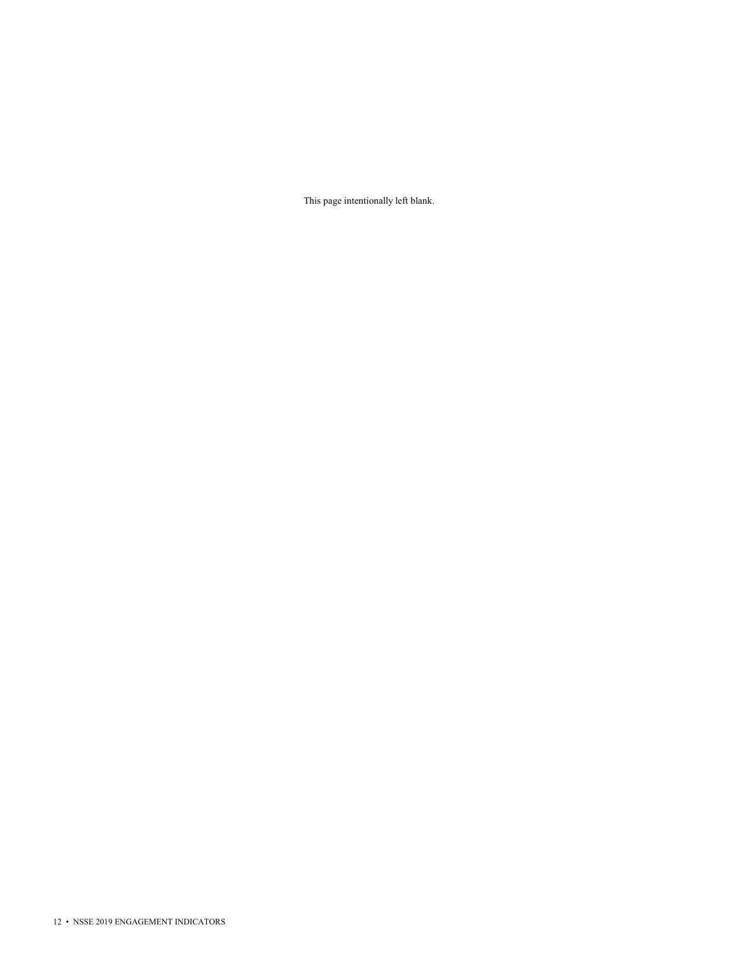This page intentionally left blank.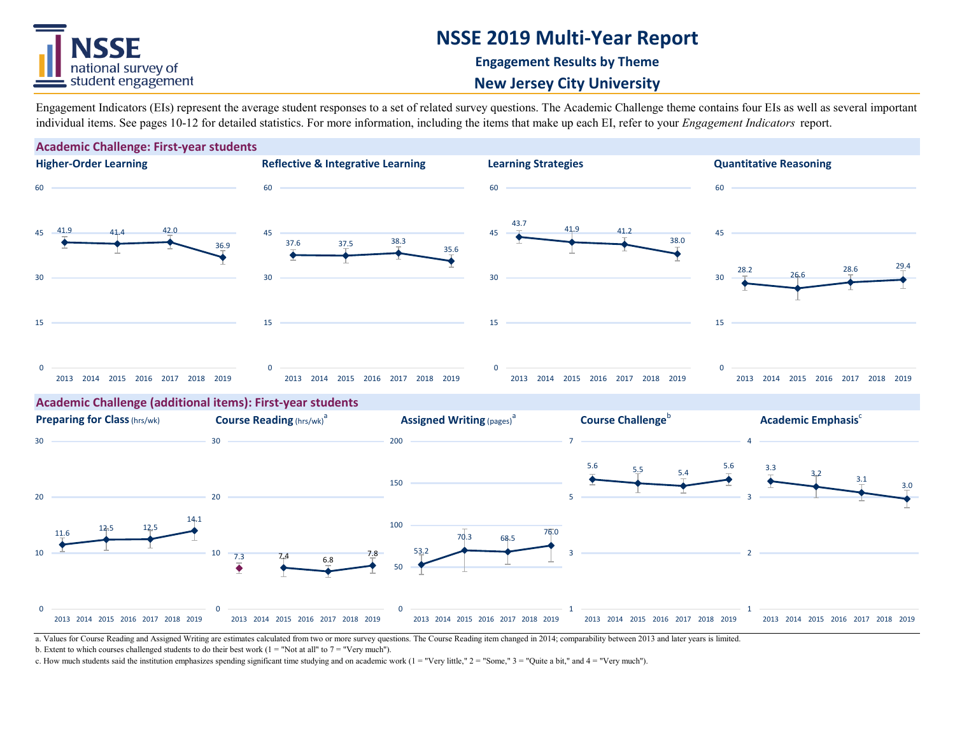# national survey of student engagement

# **NSSE 2019 Multi-Year Report**

**Engagement Results by Theme**

**New Jersey City University**

Engagement Indicators (EIs) represent the average student responses to a set of related survey questions. The Academic Challenge theme contains four EIs as well as several important individual items. See pages 10-12 for detailed statistics. For more information, including the items that make up each EI, refer to your *Engagement Indicators* report.



a. Values for Course Reading and Assigned Writing are estimates calculated from two or more survey questions. The Course Reading item changed in 2014; comparability between 2013 and later years is limited.

b. Extent to which courses challenged students to do their best work ( $1 =$  "Not at all" to  $7 =$  "Very much").

c. How much students said the institution emphasizes spending significant time studying and on academic work  $(1 = "Very little," 2 = "Some," 3 = "Oute a bit," and 4 = "Very much,"$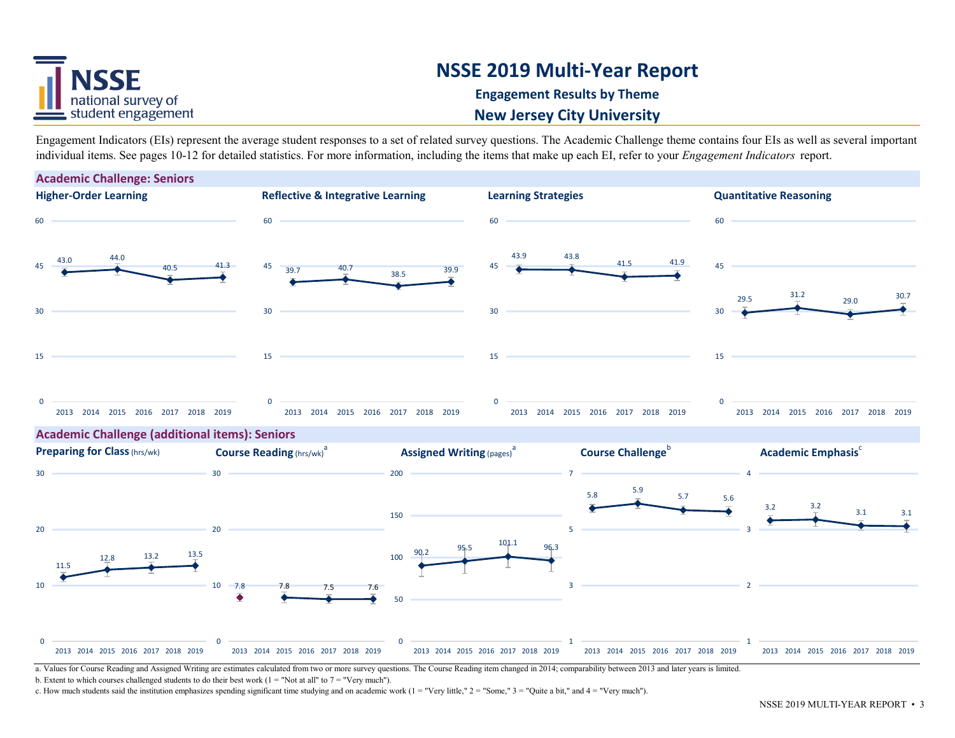

# **NSSE 2019 Multi-Year Report**

**Engagement Results by Theme**

**New Jersey City University**

Engagement Indicators (EIs) represent the average student responses to a set of related survey questions. The Academic Challenge theme contains four EIs as well as several important individual items. See pages 10-12 for detailed statistics. For more information, including the items that make up each EI, refer to your *Engagement Indicators* report.



a. Values for Course Reading and Assigned Writing are estimates calculated from two or more survey questions. The Course Reading item changed in 2014; comparability between 2013 and later years is limited.

b. Extent to which courses challenged students to do their best work  $(1 = "Not at all" to 7 = "Very much").$ 

c. How much students said the institution emphasizes spending significant time studying and on academic work  $(1 = "Very little," 2 = "Some," 3 = "Quite a bit," and 4 = "Very much." 2 = "New much, "10 = "Very little," 2 = "Some," 3 = "Quite a bit," and 4 = "Very much." 3 = "View the second year, "11 = "New the third year, "12 = "New the third year, "13 = "New the third year, "14 = "New$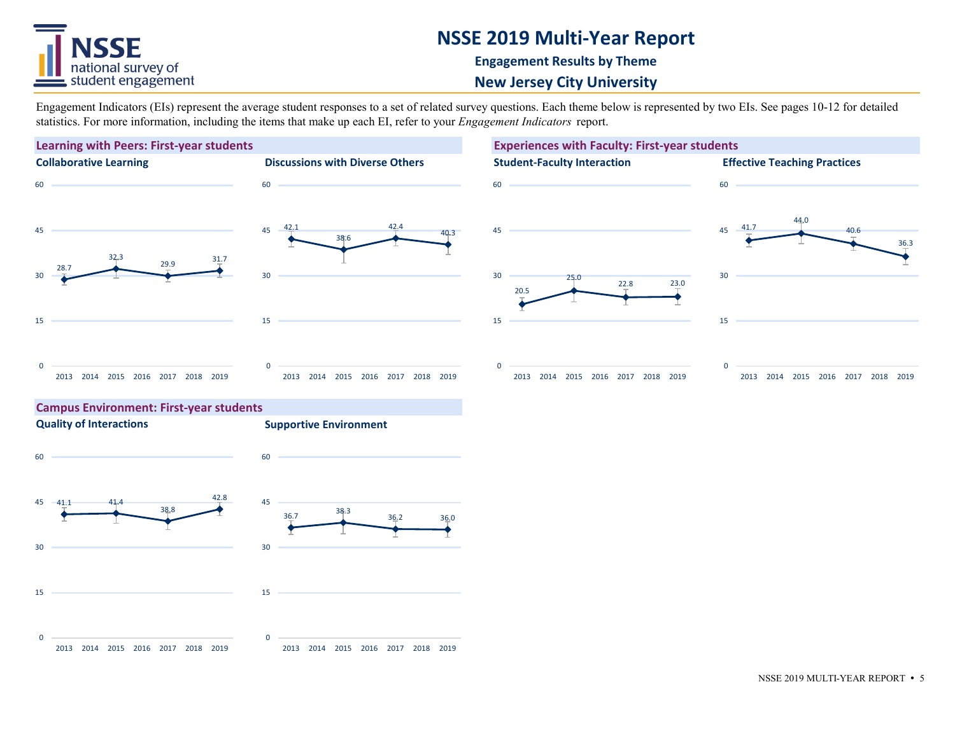# national survey of student engagement

# **NSSE 2019 Multi-Year Report Engagement Results by Theme**

**New Jersey City University**

Engagement Indicators (EIs) represent the average student responses to a set of related survey questions. Each theme below is represented by two EIs. See pages 10-12 for detailed statistics. For more information, including the items that make up each EI, refer to your *Engagement Indicators* report.



NSSE 2019 MULTI-YEAR REPORT • 5